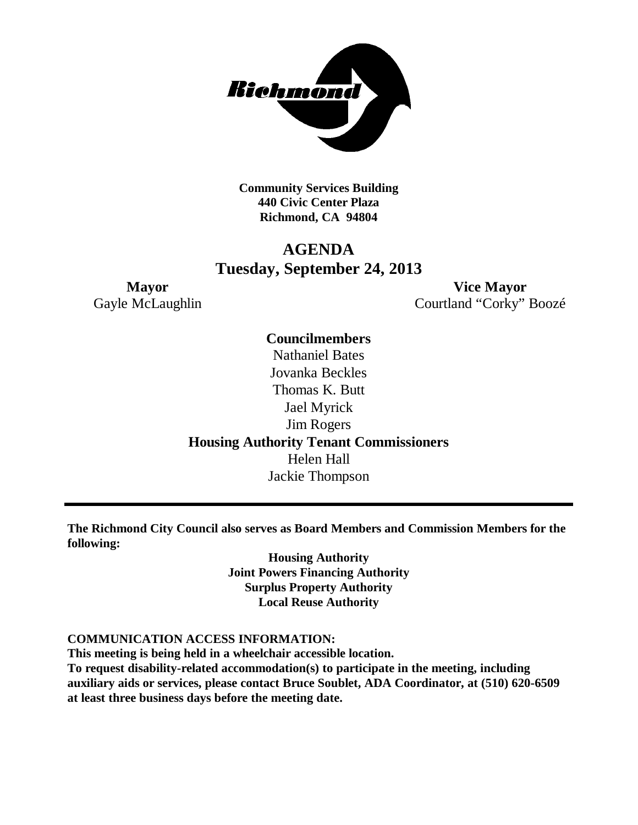

**Community Services Building 440 Civic Center Plaza Richmond, CA 94804**

## **AGENDA Tuesday, September 24, 2013**

**Mayor Vice Mayor** Gayle McLaughlin Courtland "Corky" Boozé

> **Councilmembers** Nathaniel Bates Jovanka Beckles Thomas K. Butt Jael Myrick Jim Rogers **Housing Authority Tenant Commissioners** Helen Hall Jackie Thompson

**The Richmond City Council also serves as Board Members and Commission Members for the following:**

> **Housing Authority Joint Powers Financing Authority Surplus Property Authority Local Reuse Authority**

#### **COMMUNICATION ACCESS INFORMATION:**

**This meeting is being held in a wheelchair accessible location.**

**To request disability-related accommodation(s) to participate in the meeting, including auxiliary aids or services, please contact Bruce Soublet, ADA Coordinator, at (510) 620-6509 at least three business days before the meeting date.**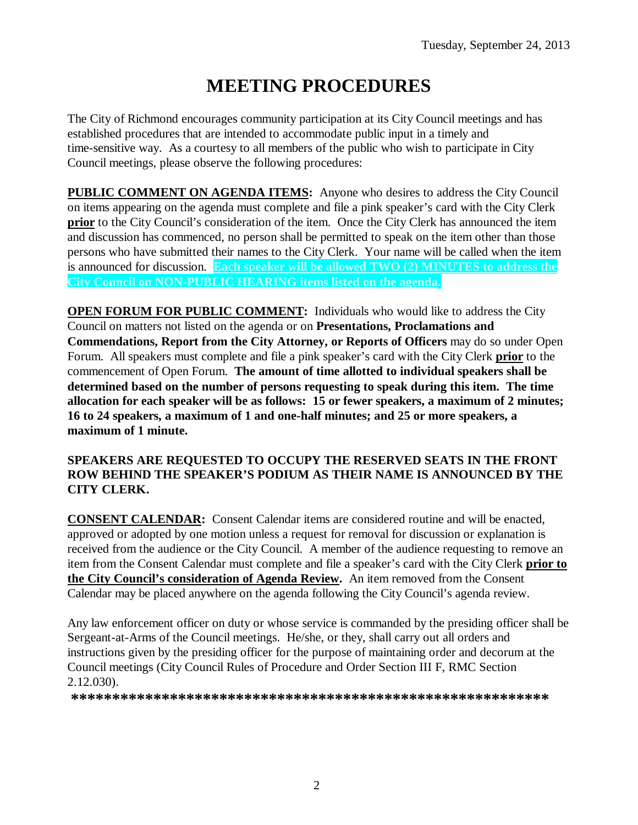# **MEETING PROCEDURES**

The City of Richmond encourages community participation at its City Council meetings and has established procedures that are intended to accommodate public input in a timely and time-sensitive way. As a courtesy to all members of the public who wish to participate in City Council meetings, please observe the following procedures:

**PUBLIC COMMENT ON AGENDA ITEMS:** Anyone who desires to address the City Council on items appearing on the agenda must complete and file a pink speaker's card with the City Clerk **prior** to the City Council's consideration of the item. Once the City Clerk has announced the item and discussion has commenced, no person shall be permitted to speak on the item other than those persons who have submitted their names to the City Clerk. Your name will be called when the item is announced for discussion. **Each speaker will be allowed TWO (2) MINUTES to address the City Council on NON-PUBLIC HEARING items listed on the agenda.**

**OPEN FORUM FOR PUBLIC COMMENT:** Individuals who would like to address the City Council on matters not listed on the agenda or on **Presentations, Proclamations and Commendations, Report from the City Attorney, or Reports of Officers** may do so under Open Forum. All speakers must complete and file a pink speaker's card with the City Clerk **prior** to the commencement of Open Forum. **The amount of time allotted to individual speakers shall be determined based on the number of persons requesting to speak during this item. The time allocation for each speaker will be as follows: 15 or fewer speakers, a maximum of 2 minutes; 16 to 24 speakers, a maximum of 1 and one-half minutes; and 25 or more speakers, a maximum of 1 minute.**

#### **SPEAKERS ARE REQUESTED TO OCCUPY THE RESERVED SEATS IN THE FRONT ROW BEHIND THE SPEAKER'S PODIUM AS THEIR NAME IS ANNOUNCED BY THE CITY CLERK.**

**CONSENT CALENDAR:** Consent Calendar items are considered routine and will be enacted, approved or adopted by one motion unless a request for removal for discussion or explanation is received from the audience or the City Council. A member of the audience requesting to remove an item from the Consent Calendar must complete and file a speaker's card with the City Clerk **prior to the City Council's consideration of Agenda Review.** An item removed from the Consent Calendar may be placed anywhere on the agenda following the City Council's agenda review.

Any law enforcement officer on duty or whose service is commanded by the presiding officer shall be Sergeant-at-Arms of the Council meetings. He/she, or they, shall carry out all orders and instructions given by the presiding officer for the purpose of maintaining order and decorum at the Council meetings (City Council Rules of Procedure and Order Section III F, RMC Section 2.12.030).

**\*\*\*\*\*\*\*\*\*\*\*\*\*\*\*\*\*\*\*\*\*\*\*\*\*\*\*\*\*\*\*\*\*\*\*\*\*\*\*\*\*\*\*\*\*\*\*\*\*\*\*\*\*\*\*\*\*\***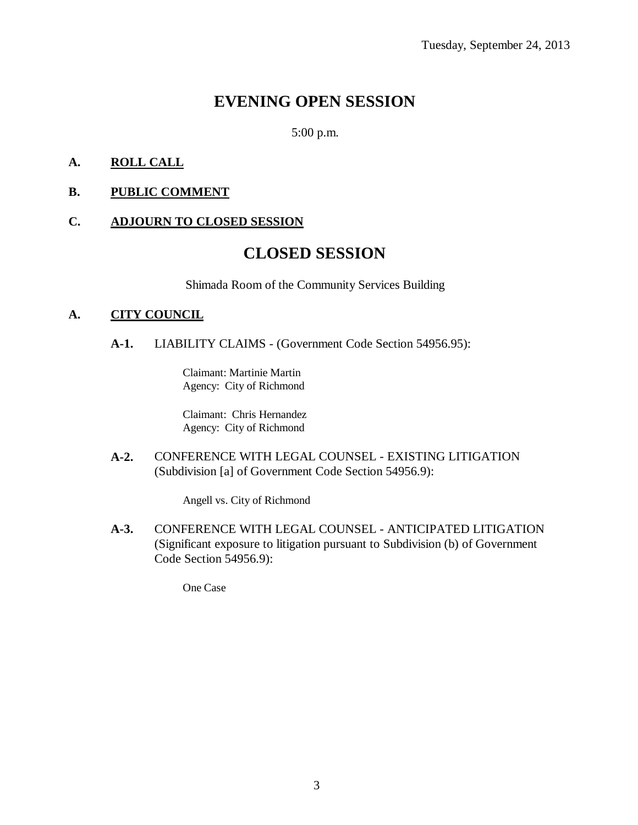## **EVENING OPEN SESSION**

5:00 p.m.

#### **A. ROLL CALL**

**B. PUBLIC COMMENT**

#### **C. ADJOURN TO CLOSED SESSION**

## **CLOSED SESSION**

Shimada Room of the Community Services Building

#### **A. CITY COUNCIL**

**A-1.** LIABILITY CLAIMS - (Government Code Section 54956.95):

Claimant: Martinie Martin Agency: City of Richmond

Claimant: Chris Hernandez Agency: City of Richmond

**A-2.** CONFERENCE WITH LEGAL COUNSEL - EXISTING LITIGATION (Subdivision [a] of Government Code Section 54956.9):

Angell vs. City of Richmond

**A-3.** CONFERENCE WITH LEGAL COUNSEL - ANTICIPATED LITIGATION (Significant exposure to litigation pursuant to Subdivision (b) of Government Code Section 54956.9):

One Case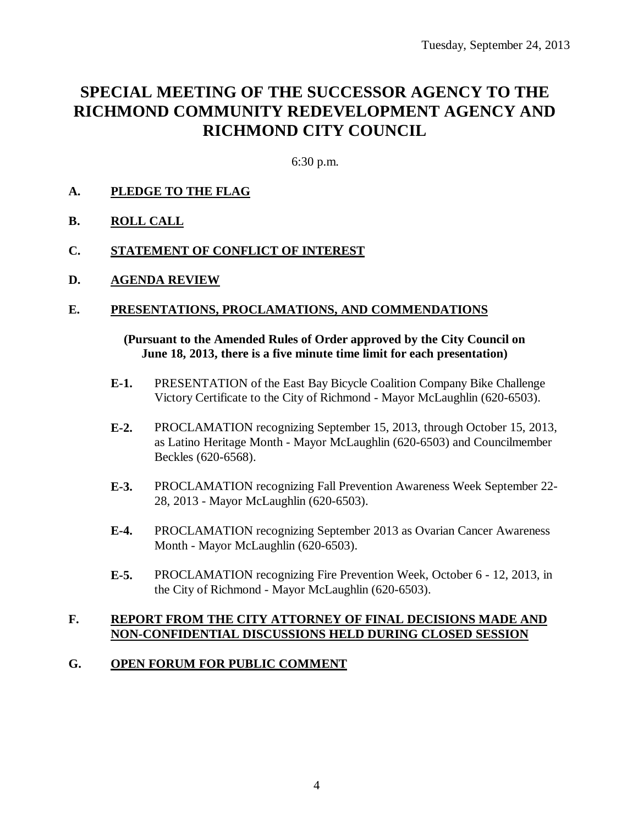## **SPECIAL MEETING OF THE SUCCESSOR AGENCY TO THE RICHMOND COMMUNITY REDEVELOPMENT AGENCY AND RICHMOND CITY COUNCIL**

6:30 p.m.

#### **A. PLEDGE TO THE FLAG**

**B. ROLL CALL**

#### **C. STATEMENT OF CONFLICT OF INTEREST**

**D. AGENDA REVIEW**

#### **E. PRESENTATIONS, PROCLAMATIONS, AND COMMENDATIONS**

#### **(Pursuant to the Amended Rules of Order approved by the City Council on June 18, 2013, there is a five minute time limit for each presentation)**

- **E-1.** PRESENTATION of the East Bay Bicycle Coalition Company Bike Challenge Victory Certificate to the City of Richmond - Mayor McLaughlin (620-6503).
- **E-2.** PROCLAMATION recognizing September 15, 2013, through October 15, 2013, as Latino Heritage Month - Mayor McLaughlin (620-6503) and Councilmember Beckles (620-6568).
- **E-3.** PROCLAMATION recognizing Fall Prevention Awareness Week September 22- 28, 2013 - Mayor McLaughlin (620-6503).
- **E-4.** PROCLAMATION recognizing September 2013 as Ovarian Cancer Awareness Month - Mayor McLaughlin (620-6503).
- **E-5.** PROCLAMATION recognizing Fire Prevention Week, October 6 12, 2013, in the City of Richmond - Mayor McLaughlin (620-6503).

#### **F. REPORT FROM THE CITY ATTORNEY OF FINAL DECISIONS MADE AND NON-CONFIDENTIAL DISCUSSIONS HELD DURING CLOSED SESSION**

#### **G. OPEN FORUM FOR PUBLIC COMMENT**